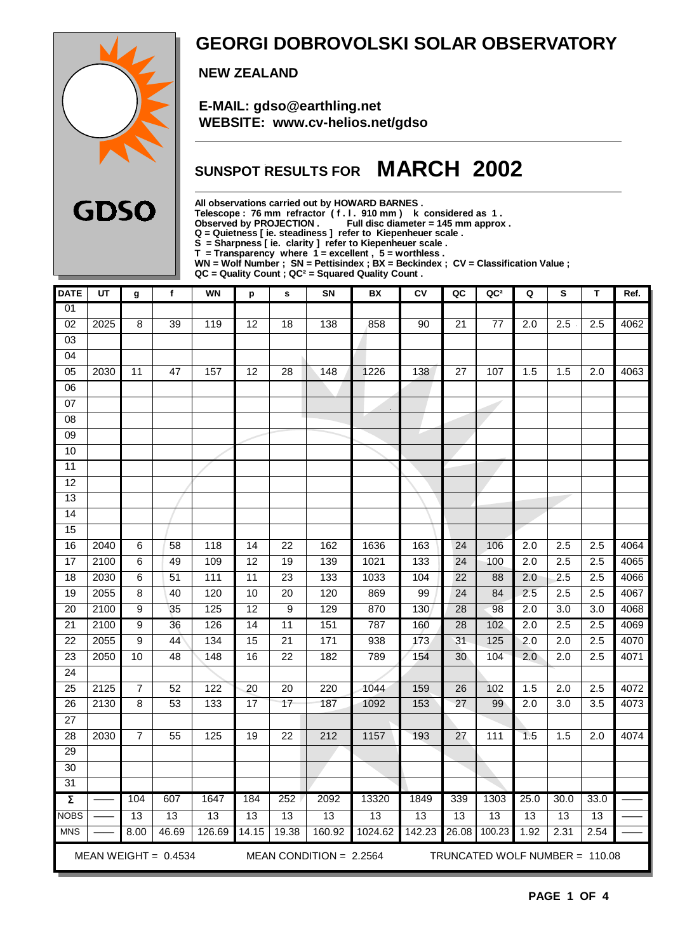

### **GEORGI DOBROVOLSKI SOLAR OBSERVATORY**

 **NEW ZEALAND**

 **E-MAIL: gdso@earthling.net WEBSITE: www.cv-helios.net/gdso**

## **SUNSPOT RESULTS FOR MARCH 2002**

**All observations carried out by HOWARD BARNES .**

**Telescope : 76 mm refractor ( f . l . 910 mm ) k considered as 1 .**

**Observed by PROJECTION . Full disc diameter = 145 mm approx .**

**Q = Quietness [ ie. steadiness ] refer to Kiepenheuer scale .**

**S = Sharpness [ ie. clarity ] refer to Kiepenheuer scale . T = Transparency where 1 = excellent , 5 = worthless .**

**WN = Wolf Number ; SN = Pettisindex ; BX = Beckindex ; CV = Classification Value ;**

**QC = Quality Count ; QC² = Squared Quality Count .**

| <b>DATE</b>         | UT   | g                       | $\mathbf f$            | <b>WN</b>       | p               | $\mathbf{s}$    | SN                        | BX      | Cν     | QC              | QC <sup>2</sup>                | Q                | ${\bf s}$        | T                | Ref. |  |  |  |  |
|---------------------|------|-------------------------|------------------------|-----------------|-----------------|-----------------|---------------------------|---------|--------|-----------------|--------------------------------|------------------|------------------|------------------|------|--|--|--|--|
| 01                  |      |                         |                        |                 |                 |                 |                           |         |        |                 |                                |                  |                  |                  |      |  |  |  |  |
| $\overline{02}$     | 2025 | $\overline{\mathbf{8}}$ | 39                     | 119             | $\overline{12}$ | 18              | 138                       | 858     | 90     | 21              | $\overline{77}$                | $\overline{2.0}$ | 2.5              | 2.5              | 4062 |  |  |  |  |
| 03                  |      |                         |                        |                 |                 |                 |                           |         |        |                 |                                |                  |                  |                  |      |  |  |  |  |
| 04                  |      |                         |                        |                 |                 |                 |                           |         |        |                 |                                |                  |                  |                  |      |  |  |  |  |
| $\overline{05}$     | 2030 | 11                      | 47                     | 157             | $\overline{12}$ | $\overline{28}$ | 148                       | 1226    | 138    | 27              | 107                            | 1.5              | 1.5              | 2.0              | 4063 |  |  |  |  |
| $\overline{06}$     |      |                         |                        |                 |                 |                 |                           |         |        |                 |                                |                  |                  |                  |      |  |  |  |  |
| 07                  |      |                         |                        |                 |                 |                 |                           |         |        |                 |                                |                  |                  |                  |      |  |  |  |  |
| 08                  |      |                         |                        |                 |                 |                 |                           |         |        |                 |                                |                  |                  |                  |      |  |  |  |  |
| 09                  |      |                         |                        |                 |                 |                 |                           |         |        |                 |                                |                  |                  |                  |      |  |  |  |  |
| 10                  |      |                         |                        |                 |                 |                 |                           |         |        |                 |                                |                  |                  |                  |      |  |  |  |  |
| $\overline{11}$     |      |                         |                        |                 |                 |                 |                           |         |        |                 |                                |                  |                  |                  |      |  |  |  |  |
| 12                  |      |                         |                        |                 |                 |                 |                           |         |        |                 |                                |                  |                  |                  |      |  |  |  |  |
| 13                  |      |                         |                        |                 |                 |                 |                           |         |        |                 |                                |                  |                  |                  |      |  |  |  |  |
| 14                  |      |                         |                        |                 |                 |                 |                           |         |        |                 |                                |                  |                  |                  |      |  |  |  |  |
| 15                  |      |                         |                        |                 |                 |                 |                           |         |        |                 |                                |                  |                  |                  |      |  |  |  |  |
| 16                  | 2040 | 6                       | 58                     | 118             | 14              | $\overline{22}$ | 162                       | 1636    | 163    | 24              | 106                            | $\overline{2.0}$ | $\overline{2.5}$ | 2.5              | 4064 |  |  |  |  |
| $\overline{17}$     | 2100 | 6                       | 49                     | 109             | 12              | $\overline{19}$ | 139                       | 1021    | 133    | 24              | 100                            | $\overline{2.0}$ | 2.5              | $\overline{2.5}$ | 4065 |  |  |  |  |
| 18                  | 2030 | $\,6$                   | 51                     | 111             | 11              | 23              | 133                       | 1033    | 104    | 22              | 88                             | 2.0              | 2.5              | 2.5              | 4066 |  |  |  |  |
| 19                  | 2055 | $\overline{8}$          | 40                     | 120             | 10              | $\overline{20}$ | 120                       | 869     | 99     | $\overline{24}$ | 84                             | 2.5              | 2.5              | 2.5              | 4067 |  |  |  |  |
| $\overline{20}$     | 2100 | 9                       | 35                     | 125             | 12              | 9               | 129                       | 870     | 130    | $\overline{28}$ | 98                             | 2.0              | $\overline{3.0}$ | $\overline{3.0}$ | 4068 |  |  |  |  |
| $\overline{21}$     | 2100 | $\overline{9}$          | 36                     | 126             | $\overline{14}$ | $\overline{11}$ | 151                       | 787     | 160    | $\overline{28}$ | 102                            | $\overline{2.0}$ | 2.5              | $\overline{2.5}$ | 4069 |  |  |  |  |
| $\overline{22}$     | 2055 | $\overline{9}$          | 44                     | 134             | $\overline{15}$ | $\overline{21}$ | 171                       | 938     | 173    | $\overline{31}$ | 125                            | 2.0              | $\overline{2.0}$ | $\overline{2.5}$ | 4070 |  |  |  |  |
| $\overline{23}$     | 2050 | 10                      | 48                     | 148             | $\overline{16}$ | $\overline{22}$ | 182                       | 789     | 154    | 30              | 104                            | 2.0              | $\overline{2.0}$ | $\overline{2.5}$ | 4071 |  |  |  |  |
| $\overline{24}$     |      |                         |                        |                 |                 |                 |                           |         |        |                 |                                |                  |                  |                  |      |  |  |  |  |
| $\overline{25}$     | 2125 | $\overline{7}$          | 52                     | 122             | $\overline{20}$ | $\overline{20}$ | 220                       | 1044    | 159    | $\overline{26}$ | 102                            | 1.5              | $\overline{2.0}$ | $\overline{2.5}$ | 4072 |  |  |  |  |
| 26                  | 2130 | $\overline{8}$          | 53                     | 133             | 17              | 17              | 187                       | 1092    | 153    | $\overline{27}$ | 99                             | 2.0              | 3.0              | 3.5              | 4073 |  |  |  |  |
| 27                  |      |                         |                        |                 |                 |                 |                           |         |        |                 |                                |                  |                  |                  |      |  |  |  |  |
| 28                  | 2030 | $\overline{7}$          | 55                     | 125             | 19              | $\overline{22}$ | 212                       | 1157    | 193    | 27              | 111                            | 1.5              | 1.5              | 2.0              | 4074 |  |  |  |  |
| 29                  |      |                         |                        |                 |                 |                 |                           |         |        |                 |                                |                  |                  |                  |      |  |  |  |  |
| 30                  |      |                         |                        |                 |                 |                 |                           |         |        |                 |                                |                  |                  |                  |      |  |  |  |  |
| 31                  |      |                         |                        |                 |                 |                 |                           |         |        |                 |                                |                  |                  |                  |      |  |  |  |  |
| $\overline{\Sigma}$ |      | 104                     | 607                    | 1647            | 184             | 252             | 2092                      | 13320   | 1849   | 339             | 1303                           | 25.0             | 30.0             | 33.0             |      |  |  |  |  |
| <b>NOBS</b>         |      | 13                      | $\overline{13}$        | $\overline{13}$ | 13              | $\overline{13}$ | 13                        | 13      | 13     | 13              | $\overline{13}$                | 13               | 13               | 13               |      |  |  |  |  |
| <b>MNS</b>          |      | 8.00                    | 46.69                  | 126.69          | 14.15           | 19.38           | 160.92                    | 1024.62 | 142.23 | 26.08           | 100.23                         | 1.92             | 2.31             | 2.54             |      |  |  |  |  |
|                     |      |                         | MEAN WEIGHT = $0.4534$ |                 |                 |                 | MEAN CONDITION = $2.2564$ |         |        |                 | TRUNCATED WOLF NUMBER = 110.08 |                  |                  |                  |      |  |  |  |  |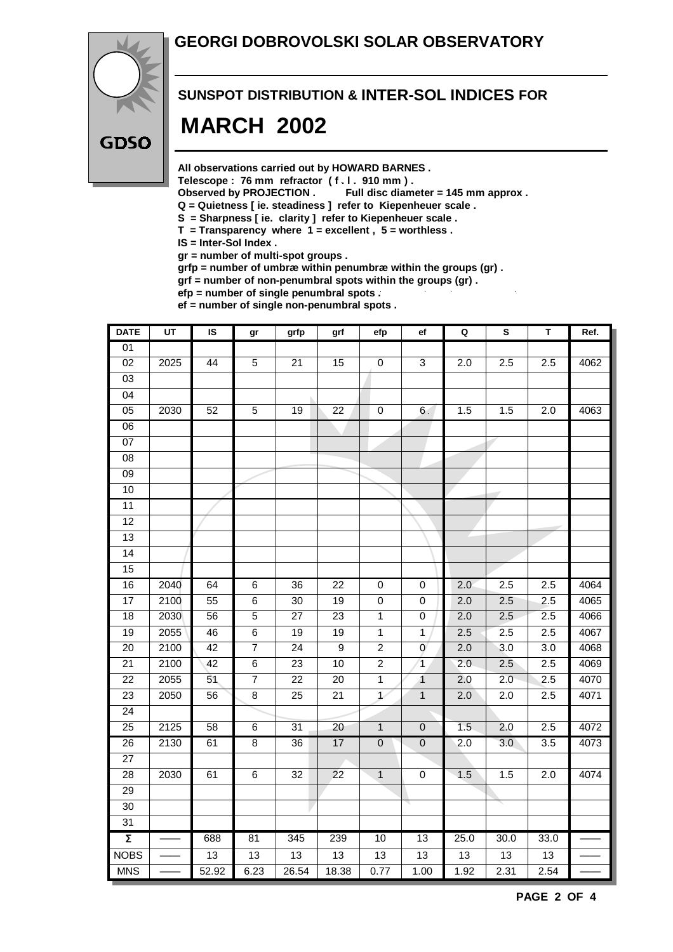#### **GEORGI DOBROVOLSKI SOLAR OBSERVATORY**



# **SUNSPOT DISTRIBUTION & INTER-SOL INDICES FOR MARCH 2002**

**All observations carried out by HOWARD BARNES .**

**Telescope : 76 mm refractor ( f . l . 910 mm ) .**

**Observed by PROJECTION . Full disc diameter = 145 mm approx .**

- **Q = Quietness [ ie. steadiness ] refer to Kiepenheuer scale .**
- **S = Sharpness [ ie. clarity ] refer to Kiepenheuer scale .**
- **T = Transparency where 1 = excellent , 5 = worthless .**
- **IS = Inter-Sol Index .**

**gr = number of multi-spot groups .**

**grfp = number of umbræ within penumbræ within the groups (gr) .**

**grf = number of non-penumbral spots within the groups (gr) .**

**efp = number of single penumbral spots . ef = number of single non-penumbral spots .**

| <b>DATE</b>         | $\overline{UT}$ | $\overline{\mathsf{s}}$ | gr              | grfp            | grf             | efp            | ef               | $\mathbf Q$      | S                | T                | Ref. |
|---------------------|-----------------|-------------------------|-----------------|-----------------|-----------------|----------------|------------------|------------------|------------------|------------------|------|
| 01                  |                 |                         |                 |                 |                 |                |                  |                  |                  |                  |      |
| 02                  | 2025            | 44                      | $\overline{5}$  | $\overline{21}$ | $\overline{15}$ | $\overline{0}$ | $\overline{3}$   | $\overline{2.0}$ | 2.5              | 2.5              | 4062 |
| $\overline{03}$     |                 |                         |                 |                 |                 |                |                  |                  |                  |                  |      |
| $\overline{04}$     |                 |                         |                 |                 |                 |                |                  |                  |                  |                  |      |
| 05                  | 2030            | 52                      | $\overline{5}$  | 19              | $\overline{22}$ | $\overline{0}$ | 6 <sup>1</sup>   | 1.5              | 1.5              | $\overline{2.0}$ | 4063 |
| $\overline{06}$     |                 |                         |                 |                 |                 |                |                  |                  |                  |                  |      |
| $\overline{07}$     |                 |                         |                 |                 |                 |                |                  |                  |                  |                  |      |
| 08                  |                 |                         |                 |                 |                 |                |                  |                  |                  |                  |      |
| $\overline{09}$     |                 |                         |                 |                 |                 |                |                  |                  |                  |                  |      |
| 10                  |                 |                         |                 |                 |                 |                |                  |                  |                  |                  |      |
| $\overline{11}$     |                 |                         |                 |                 |                 |                |                  |                  |                  |                  |      |
| 12                  |                 |                         |                 |                 |                 |                |                  |                  |                  |                  |      |
| 13                  |                 |                         |                 |                 |                 |                |                  |                  |                  |                  |      |
| 14                  |                 |                         |                 |                 |                 |                |                  |                  |                  |                  |      |
| 15                  |                 |                         |                 |                 |                 |                |                  |                  |                  |                  |      |
| 16                  | 2040            | 64                      | $\overline{6}$  | 36              | $\overline{22}$ | $\overline{0}$ | $\pmb{0}$        | 2.0              | 2.5              | 2.5              | 4064 |
| 17                  | 2100            | 55                      | 6               | 30              | 19              | $\pmb{0}$      | 0                | 2.0              | 2.5              | 2.5              | 4065 |
| 18                  | 2030            | 56                      | $\overline{5}$  | 27              | 23              | $\mathbf{1}$   | 0                | 2.0              | 2.5              | 2.5              | 4066 |
| 19                  | 2055            | 46                      | $6\overline{6}$ | $\overline{19}$ | 19              | $\overline{1}$ | 1                | 2.5              | 2.5              | 2.5              | 4067 |
| 20                  | 2100            | 42                      | $\overline{7}$  | $\overline{24}$ | $\overline{9}$  | $\overline{2}$ | $\mathbf 0$      | 2.0              | 3.0              | 3.0              | 4068 |
| $\overline{21}$     | 2100            | 42                      | $\overline{6}$  | 23              | 10              | $\overline{2}$ | $\mathbf{1}$     | $\overline{2.0}$ | 2.5              | 2.5              | 4069 |
| $\overline{22}$     | 2055            | 51                      | $\overline{7}$  | $\overline{22}$ | $\overline{20}$ | $\overline{1}$ | $\overline{1}$   | 2.0              | 2.0              | $\overline{2.5}$ | 4070 |
| 23                  | 2050            | 56                      | 8               | 25              | 21              | $\mathcal{L}$  | $\mathbf{1}$     | 2.0              | 2.0              | 2.5              | 4071 |
| $\overline{24}$     |                 |                         |                 |                 |                 |                |                  |                  |                  |                  |      |
| $\overline{25}$     | 2125            | 58                      | 6               | 31              | $\overline{20}$ | $\overline{1}$ | $\mathbf 0$      | 1.5              | 2.0              | 2.5              | 4072 |
| $\overline{26}$     | 2130            | 61                      | $\overline{8}$  | $\overline{36}$ | 17              | $\mathbf 0$    | $\pmb{0}$        | 2.0              | $\overline{3.0}$ | 3.5              | 4073 |
| $\overline{27}$     |                 |                         |                 |                 |                 |                |                  |                  |                  |                  |      |
| 28                  | 2030            | 61                      | 6               | 32              | 22              | $\mathbf{1}$   | $\boldsymbol{0}$ | 1.5              | 1.5              | 2.0              | 4074 |
| 29                  |                 |                         |                 |                 |                 |                |                  |                  |                  |                  |      |
| $\overline{30}$     |                 |                         |                 |                 |                 |                |                  |                  |                  |                  |      |
| 31                  |                 |                         |                 |                 |                 |                |                  |                  |                  |                  |      |
| $\overline{\Sigma}$ |                 | 688                     | 81              | 345             | 239             | 10             | 13               | 25.0             | 30.0             | 33.0             |      |
| <b>NOBS</b>         |                 | 13                      | 13              | 13              | 13              | 13             | $\overline{13}$  | 13               | 13               | 13               |      |
| <b>MNS</b>          |                 | 52.92                   | 6.23            | 26.54           | 18.38           | 0.77           | 1.00             | 1.92             | 2.31             | 2.54             |      |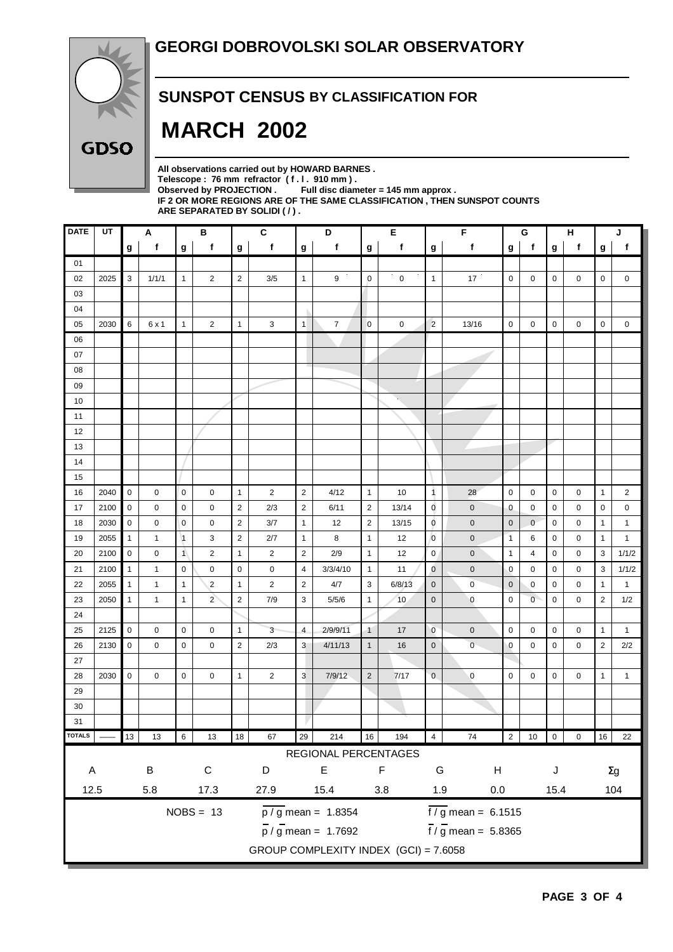

#### **SUNSPOT CENSUS BY CLASSIFICATION FOR**

# **MARCH 2002**

**All observations carried out by HOWARD BARNES .** Telescope : 76 mm refractor (f. l. 910 mm).<br>Observed by PROJECTION . Full disc diam Full disc diameter = 145 mm approx . **IF 2 OR MORE REGIONS ARE OF THE SAME CLASSIFICATION , THEN SUNSPOT COUNTS ARE SEPARATED BY SOLIDI ( / ) .**

| <b>DATE</b>                                     | UT                                    |                  | Α                      |                | В              |                | C              |                | D                                |                        | Е           | F<br>G                         |                                 |              |                | н<br>J |             |                |                |
|-------------------------------------------------|---------------------------------------|------------------|------------------------|----------------|----------------|----------------|----------------|----------------|----------------------------------|------------------------|-------------|--------------------------------|---------------------------------|--------------|----------------|--------|-------------|----------------|----------------|
|                                                 |                                       | $\boldsymbol{g}$ | $\mathbf f$            | g              | f              | g              | f              | $\mathbf{g}$   | f                                | g                      | f           | $\boldsymbol{g}$               | f                               | g            | $\mathbf f$    | g      | f           | g              | $\mathsf f$    |
| 01                                              |                                       |                  |                        |                |                |                |                |                |                                  |                        |             |                                |                                 |              |                |        |             |                |                |
| 02                                              | 2025                                  | $\mathbf{3}$     | 1/1/1                  | $\mathbf{1}$   | $\overline{c}$ | $\overline{2}$ | 3/5            | $\mathbf{1}$   | 9                                | $\mathbf 0$            | $\mathsf 0$ | $\overline{1}$                 | 17                              | $\mathbf 0$  | 0              | 0      | 0           | $\mathbf 0$    | 0              |
| 03                                              |                                       |                  |                        |                |                |                |                |                |                                  |                        |             |                                |                                 |              |                |        |             |                |                |
| 04                                              |                                       |                  |                        |                |                |                |                |                |                                  |                        |             |                                |                                 |              |                |        |             |                |                |
| 05                                              | 2030                                  | 6                | 6 x 1                  | $\mathbf{1}$   | $\overline{c}$ | $\mathbf{1}$   | 3              | 1              | $\overline{7}$                   | $\mathbf 0$            | 0           | $\overline{c}$                 | 13/16                           | $\mathbf 0$  | $\pmb{0}$      | 0      | 0           | 0              | 0              |
| 06                                              |                                       |                  |                        |                |                |                |                |                |                                  |                        |             |                                |                                 |              |                |        |             |                |                |
| 07                                              |                                       |                  |                        |                |                |                |                |                |                                  |                        |             |                                |                                 |              |                |        |             |                |                |
| 08                                              |                                       |                  |                        |                |                |                |                |                |                                  |                        |             |                                |                                 |              |                |        |             |                |                |
| 09                                              |                                       |                  |                        |                |                |                |                |                |                                  |                        |             |                                |                                 |              |                |        |             |                |                |
| 10                                              |                                       |                  |                        |                |                |                |                |                |                                  |                        | V.          |                                |                                 |              |                |        |             |                |                |
| 11                                              |                                       |                  |                        |                |                |                |                |                |                                  |                        |             |                                |                                 |              |                |        |             |                |                |
| 12                                              |                                       |                  |                        |                |                |                |                |                |                                  |                        |             |                                |                                 |              |                |        |             |                |                |
| 13                                              |                                       |                  |                        |                |                |                |                |                |                                  |                        |             |                                |                                 |              |                |        |             |                |                |
| 14                                              |                                       |                  |                        |                |                |                |                |                |                                  |                        |             |                                |                                 |              |                |        |             |                |                |
| 15                                              |                                       |                  |                        |                |                |                |                |                |                                  |                        |             |                                |                                 |              |                |        |             |                |                |
| 16                                              | 2040                                  | $\pmb{0}$        | 0                      | $\mathbf 0$    | 0              | $\mathbf{1}$   | $\overline{2}$ | $\overline{2}$ | 4/12                             | $\mathbf{1}$           | 10          | $\overline{1}$                 | 28                              | $\mathbf 0$  | 0              | 0      | 0           | $\mathbf{1}$   | $\overline{2}$ |
| 17                                              | 2100                                  | $\mathbf 0$      | 0                      | $\mathbf 0$    | $\mathbf 0$    | $\overline{2}$ | 2/3            | $\overline{2}$ | 6/11                             | $\overline{2}$         | 13/14       | $\mathbf 0$                    | $\pmb{0}$                       | $\mathbf 0$  | 0              | 0      | 0           | 0              | 0              |
| 18                                              | 2030                                  | $\mathsf 0$      | 0                      | $\mathbf 0$    | 0              | $\overline{2}$ | 3/7            | $\mathbf{1}$   | 12                               | $\overline{2}$         | 13/15       | $\overline{0}$                 | $\mathbf 0$                     | $\mathbf 0$  | $\mathbf 0$    | 0      | 0           | $\mathbf{1}$   | $\mathbf{1}$   |
| 19                                              | 2055                                  | $\mathbf{1}$     | 1                      | $\vert$ 1      | 3              | $\sqrt{2}$     | 2/7            | $\mathbf{1}$   | 8                                | $\mathbf{1}$           | 12          | $\overline{0}$                 | $\mathbf 0$                     | $\mathbf{1}$ | 6              | 0      | 0           | $\mathbf{1}$   | $\mathbf{1}$   |
| 20                                              | 2100                                  | $\pmb{0}$        | 0                      | $\overline{1}$ | 2              | $\mathbf{1}$   | $\overline{2}$ | $\overline{2}$ | 2/9                              | $\overline{1}$         | 12          | $\mathbf 0$                    | $\mathbf 0$                     | $\mathbf{1}$ | 4              | 0      | 0           | 3              | 1/1/2          |
| 21                                              | 2100                                  | $\mathbf{1}$     | 1                      | $\mathbf 0$    | 0              | $\mathbf 0$    | 0              | 4              | 3/3/4/10                         | $\mathbf{1}$           | 11          | $\mathbf 0$                    | $\pmb{0}$                       | $\mathbf 0$  | 0              | 0      | 0           | 3              | 1/1/2          |
| 22                                              | 2055                                  | $\mathbf{1}$     | $\mathbf{1}$           | $\mathbf{1}$   | $\overline{2}$ | $\mathbf{1}$   | $\overline{2}$ | $\overline{2}$ | 4/7                              | 3                      | 6/8/13      | $\mathbf 0$                    | $\pmb{0}$                       | $\mathbf 0$  | 0              | 0      | 0           | $\mathbf{1}$   | $\mathbf{1}$   |
| 23                                              | 2050                                  | $\mathbf{1}$     | 1                      | $\mathbf{1}$   | $\overline{2}$ | $\overline{2}$ | 7/9            | 3              | 5/5/6                            | $\mathbf{1}$           | 10          | $\mathbf 0$                    | $\mathbf 0$                     | $\mathsf 0$  | $\overline{0}$ | 0      | $\mathbf 0$ | $\overline{2}$ | 1/2            |
| 24                                              |                                       |                  |                        |                |                |                |                |                |                                  |                        |             |                                |                                 |              |                |        |             |                |                |
| 25                                              | 2125                                  | $\mathsf 0$      | 0                      | $\mathbf 0$    | 0              | $\mathbf{1}$   | 3              | $\overline{4}$ | 2/9/9/11                         | $\blacktriangleleft$   | 17          | $\overline{0}$                 | $\pmb{0}$                       | $\mathsf 0$  | 0              | 0      | 0           | $\mathbf{1}$   | $\mathbf{1}$   |
| 26                                              | 2130                                  | $\mathbf 0$      | 0                      | $\mathbf 0$    | 0              | $\overline{2}$ | 2/3            | 3              | 4/11/13                          | $\mathbf{1}$           | 16          | $\mathbf 0$                    | $\overline{0}$                  | $\mathbf 0$  | 0              | 0      | 0           | $\overline{2}$ | 2/2            |
| 27                                              |                                       |                  |                        |                |                |                |                |                |                                  |                        |             |                                |                                 |              |                |        |             |                |                |
| 28                                              | 2030                                  | $\mathbf 0$      | 0                      | $\mathbf 0$    | 0              | $\mathbf{1}$   | 2              | 3              | 7/9/12                           | $\overline{2}$         | 7/17        | $\mathbf 0$                    | $\pmb{0}$                       | $\mathbf 0$  | 0              | 0      | 0           | $\mathbf{1}$   | $\mathbf{1}$   |
| 29                                              |                                       |                  |                        |                |                |                |                |                |                                  |                        |             |                                |                                 |              |                |        |             |                |                |
| 30                                              |                                       |                  |                        |                |                |                |                |                |                                  |                        |             |                                |                                 |              |                |        |             |                |                |
| 31                                              |                                       |                  |                        |                |                |                |                |                |                                  |                        |             |                                |                                 |              |                |        |             |                |                |
| <b>TOTALS</b>                                   |                                       | 13               | 13                     | 6              | 13             | 18             | 67             | 29             | 214                              | 16                     | 194         | $\overline{4}$                 | 74                              | $2 \mid$     | $10 \quad 0$   |        | $\mathbf 0$ |                | 16 22          |
|                                                 |                                       |                  |                        |                |                |                |                |                | REGIONAL PERCENTAGES             |                        |             |                                |                                 |              |                |        |             |                |                |
| $\mathsf{A}$                                    |                                       |                  | $\sf B$<br>$\mathsf C$ |                |                | D              |                | $\mathsf E$    |                                  | $\mathsf F$            |             | ${\mathsf G}$<br>$\mathsf{H}%$ |                                 |              |                | J      |             | $\Sigma g$     |                |
| 12.5<br>5.8<br>17.3                             |                                       |                  |                        |                | 27.9           | 15.4<br>3.8    |                |                |                                  | 1.9<br>$0.0\,$<br>15.4 |             |                                |                                 |              | 104            |        |             |                |                |
| $NOBS = 13$<br>$\overline{p / g}$ mean = 1.8354 |                                       |                  |                        |                |                |                |                |                | $\frac{1}{6}$ mean = 6.1515      |                        |             |                                |                                 |              |                |        |             |                |                |
|                                                 |                                       |                  |                        |                |                |                |                |                | $\overline{p}$ / g mean = 1.7692 |                        |             |                                | $\frac{1}{1}$ / g mean = 5.8365 |              |                |        |             |                |                |
|                                                 |                                       |                  |                        |                |                |                |                |                |                                  |                        |             |                                |                                 |              |                |        |             |                |                |
|                                                 | GROUP COMPLEXITY INDEX (GCI) = 7.6058 |                  |                        |                |                |                |                |                |                                  |                        |             |                                |                                 |              |                |        |             |                |                |